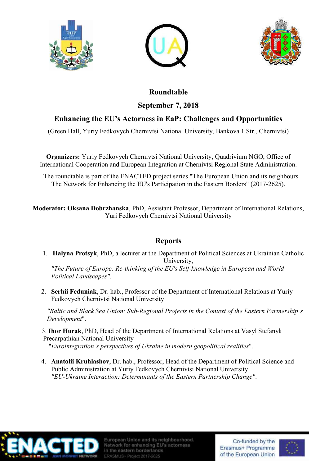





## **Roundtable September 7, 2018**

## **Enhancing the EU's Actorness in EaP: Challenges and Opportunities**

(Green Hall, Yuriy Fedkovych Chernivtsi National University, Bankova 1 Str., Chernivtsi)

**Organizers:** Yuriy Fedkovych Chernivtsi National University, Quadrivium NGO, Office of International Cooperation and European Integration at Chernivtsi Regional State Administration.

 The roundtable is part of the ENACTED project series "The European Union and its neighbours. The Network for Enhancing the EU's Participation in the Eastern Borders" (2017-2625).

**Moderator: Oksana Dobrzhanska**, PhD, Assistant Professor, Department of International Relations, Yuri Fedkovych Chernivtsi National University

## **Reports**

1. **Halyna Protsyk**, PhD, a lecturer at the Department of Political Sciences at Ukrainian Catholic University,

*"The Future of Europe: Re-thinking of the EU's Self-knowledge in European and World Political Landscapes"*.

2. **Serhii Feduniak**, Dr. hab., Professor of the Department of International Relations at Yuriy Fedkovych Chernivtsi National University

*"Baltic and Black Sea Union: Sub-Regional Projects in the Context of the Eastern Partnership's Development*".

 3. **Ihor Hurak**, PhD, Head of the Department of International Relations at Vasyl Stefanyk Precarpathian National University

"*Eurointegration's perspectives of Ukraine in modern geopolitical realities*".

4. **Anatolii Kruhlashov**, Dr. hab., Professor, Head of the Department of Political Science and Public Administration at Yuriy Fedkovych Chernivtsi National University *"EU-Ukraine Interaction: Determinants of the Eastern Partnership Change"*.